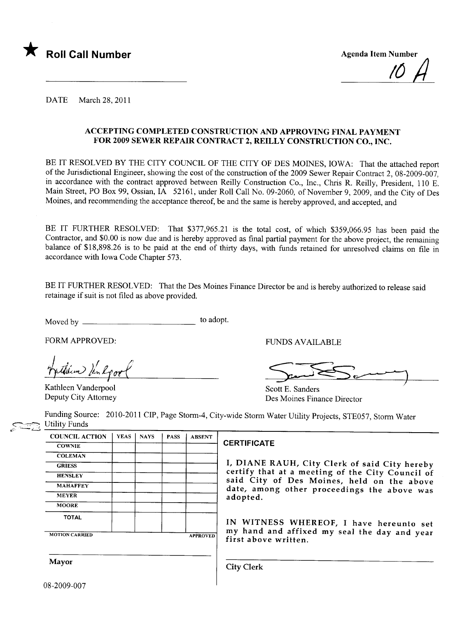

IU  $\bm{\mathcal{H}}$ 

DATE March 28, 2011

#### ACCEPTING COMPLETED CONSTRUCTION AND APPROVING FINAL PAYMENT FOR 2009 SEWER REPAIR CONTRACT 2, REILLY CONSTRUCTION CO., INC.

BE IT RESOLVED BY THE CITY COUNCIL OF THE CITY OF DES MOINES, IOWA: That the attached report of the Jurisdictional Engineer, showing the cost of the construction of the 2009 Sewer Repair Contract 2, 08-2009-007, in accordance with the contract approved between Reilly Construction Co., Inc., Chris R. Reilly, President, 110 E. Main Street, PO Box 99, Ossian, IA 52161, under Roll Call No. 09-2060, of November 9,2009, and the City of Des Moines, and recommending the acceptance thereof, be and the same is hereby approved, and accepted, and

BE IT FURTHER RESOLVED: That \$377,965.21 is the total cost, of which \$359,066.95 has been paid the Contractor, and \$0.00 is now due and is hereby approved as final partial payment for the above project, the remaining balance of \$18,898.26 is to be paid at the end of thirty days, with funds retained for unresolved claims on file in accordance with Iowa Code Chapter 573.

BE IT FURTHER RESOLVED: That the Des Moines Finance Director be and is hereby authorized to release said retainage if suit is not filed as above provided.

Moved by to adopt.

FORM APPROVED: FUNDS AVAILABLE

them ) in Rport

Kathleen Vanderpool Deputy City Attorney

VNDS AVAILABLE

Scott E. Sanders Des Moines Finance Director

Funding Source: 2010-2011 CIP, Page Storm-4, City-wide Storm Water Utility Projects, STE057, Storm Water Utility Funds

| <b>COUNCIL ACTION</b> | <b>YEAS</b> | <b>NAYS</b> | <b>PASS</b> | <b>ABSENT</b>   |
|-----------------------|-------------|-------------|-------------|-----------------|
| <b>COWNIE</b>         |             |             |             |                 |
| <b>COLEMAN</b>        |             |             |             |                 |
| <b>GRIESS</b>         |             |             |             |                 |
| <b>HENSLEY</b>        |             |             |             |                 |
| <b>MAHAFFEY</b>       |             |             |             |                 |
| <b>MEYER</b>          |             |             |             |                 |
| <b>MOORE</b>          |             |             |             |                 |
| <b>TOTAL</b>          |             |             |             |                 |
| <b>MOTION CARRIED</b> |             |             |             | <b>APPROVED</b> |

#### CERTIFICATE

I, DIANE RAUH, City Clerk of said City hereby certify that at a meeting of the City Council of said City of Des Moines, held on the above date, among other proceedings the above was adopted.

IN WITNESS WHEREOF, I have hereunto set my hand and affixed my seal the day and year<br>first above written.

Mayor City Clerk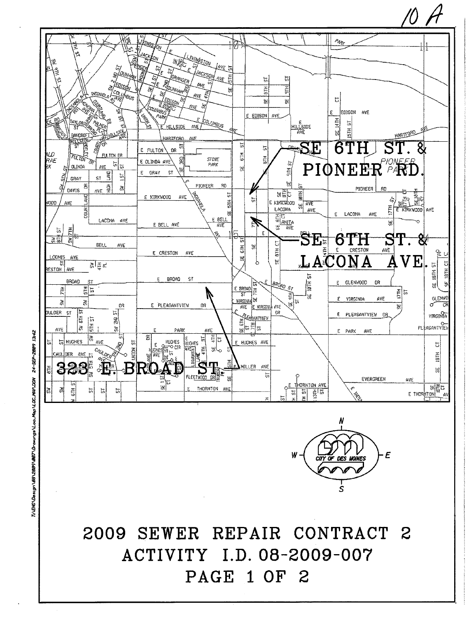

ħ

 $\overline{\omega}$ 

HIL

벓

 $\frac{1}{\sqrt{2}}$ 

 $rac{1}{2}$ 

빓

AVE

E EDISCN

LIVINGSTON

कड़ी

**PAGE 1 OF 2** 

24-SEP-2009 13:42 INDL-ANC\Dest.gp \BBB9\BBD\Qraw.nds\Loo\_Mob)\LOC\_MAP.DGW

ø,

'levişi

 $\rho_{\phi\varphi}$ 

 $\overline{5}$ 

ę.

EDISON AVE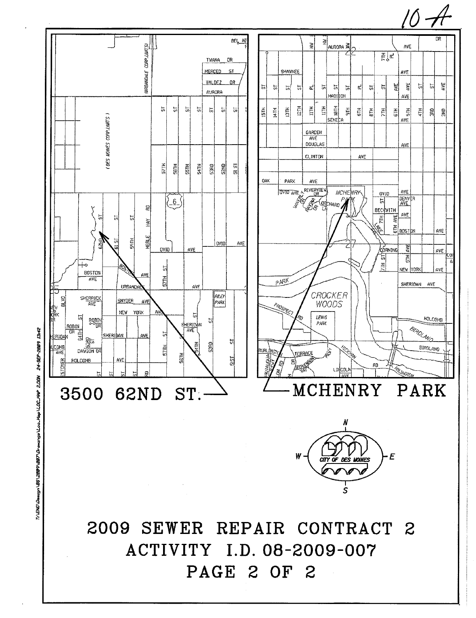

24-SEP-2009 13:42 TILENG LOBASON REPORT CONTROLLAND / CBBC/SBBC/OC-19120C-MAP 2.DGN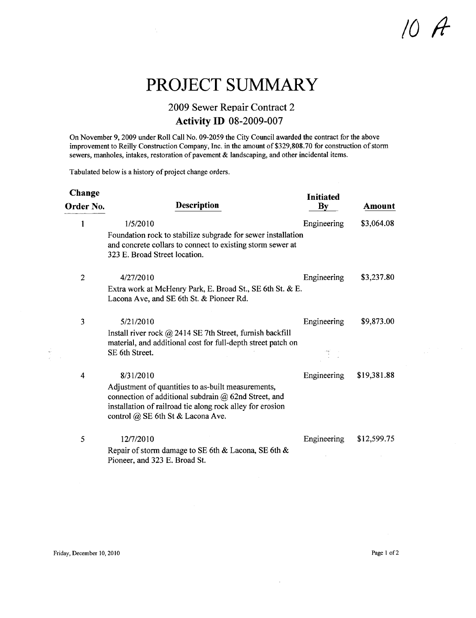## $0$   $A$

### PROJECT SUMMARY

#### 2009 Sewer Repair Contract 2 Activity ID 08-2009-007

On November 9, 2009 under Roll Call No. 09-2059 the City Council awarded the contract for the above improvement to Reilly Construction Company, Inc. in the amount of \$329,808.70 for construction of storm sewers, manholes, intakes, restoration of pavement & landscaping, and other incidental items.

Tabulated below is a history of project change orders.

÷,

| Change         |                                                                                                                                                                                                                     | <b>Initiated</b>       |               |
|----------------|---------------------------------------------------------------------------------------------------------------------------------------------------------------------------------------------------------------------|------------------------|---------------|
| Order No.      | <b>Description</b>                                                                                                                                                                                                  | $\mathbf{B}\mathbf{v}$ | <b>Amount</b> |
|                | 1/5/2010                                                                                                                                                                                                            | Engineering            | \$3,064.08    |
|                | Foundation rock to stabilize subgrade for sewer installation<br>and concrete collars to connect to existing storm sewer at<br>323 E. Broad Street location.                                                         |                        |               |
| $\overline{2}$ | 4/27/2010                                                                                                                                                                                                           | Engineering            | \$3,237.80    |
|                | Extra work at McHenry Park, E. Broad St., SE 6th St. & E.<br>Lacona Ave, and SE 6th St. & Pioneer Rd.                                                                                                               |                        |               |
| 3              | 5/21/2010                                                                                                                                                                                                           | Engineering            | \$9,873.00    |
|                | Install river rock $@$ 2414 SE 7th Street, furnish backfill<br>material, and additional cost for full-depth street patch on<br>SE 6th Street.                                                                       |                        |               |
| 4              | 8/31/2010                                                                                                                                                                                                           | Engineering            | \$19,381.88   |
|                | Adjustment of quantities to as-built measurements,<br>connection of additional subdrain $\omega$ 62nd Street, and<br>installation of railroad tie along rock alley for erosion<br>control @ SE 6th St & Lacona Ave. |                        |               |
| 5              | 12/7/2010                                                                                                                                                                                                           | Engineering            | \$12,599.75   |
|                | Repair of storm damage to SE 6th & Lacona, SE 6th &<br>Pioneer, and 323 E. Broad St.                                                                                                                                |                        |               |

 $\frac{1}{\sqrt{2}}$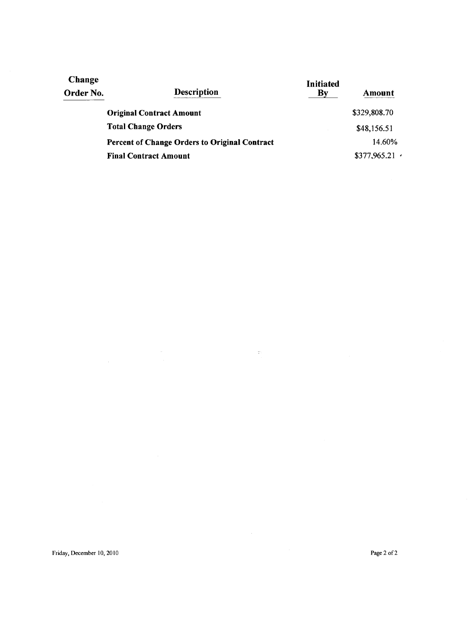| Change<br>Order No. | <b>Description</b>                            | <b>Initiated</b><br>Bv | Amount       |
|---------------------|-----------------------------------------------|------------------------|--------------|
|                     | <b>Original Contract Amount</b>               |                        | \$329,808.70 |
|                     | <b>Total Change Orders</b>                    |                        | \$48,156.51  |
|                     | Percent of Change Orders to Original Contract |                        | 14.60%       |
|                     | <b>Final Contract Amount</b>                  |                        | \$377,965.21 |

 $\sim$   $\pm$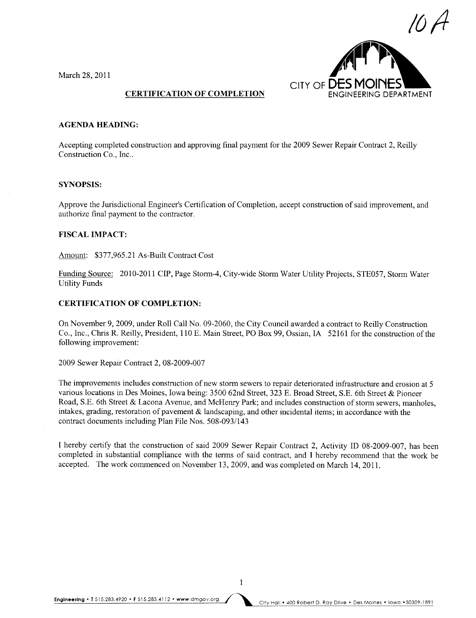March 28, 2011



#### CERTIFICATION OF COMPLETION

#### AGENDA HEADING:

Accepting completed construction and approving final payment for the 2009 Sewer Repair Contract 2, Reilly Construction Co., Inc..

#### SYNOPSIS:

Approve the Jurisdictional Engineer's Certification of Completion, accept construction of said improvement, and authorize final payment to the contractor.

#### FISCAL IMPACT:

Amount: \$377,965.21 As-Built Contract Cost

Funding Source: 2010-201 I CIP, Page Storm-4, City-wide Storm Water Utility Projects, STE057, Storm Water Utility Funds

#### CERTIFICATION OF COMPLETION:

On November 9,2009, under Roll Call No. 09-2060, the City Council awarded a contract to Reily Construction Co., Inc., Chris R. Reilly, President, 110 E. Main Street, PO Box 99, Ossian, IA 52161 for the construction of the following improvement:

2009 Sewer Repair Contract 2, 08-2009-007

The improvements includes construction of new storm sewers to repair deteriorated infrastructure and erosion at 5 various locations in Des Moines, Iowa being: 3500 62nd Street, 323 E. Broad Street, S.E. 6th Street & Pioneer Road, S.E. 6th Street & Lacona Avenue, and McHenry Park; and includes construction of storm sewers, manholes, intakes, grading, restoration of pavement & landscaping, and other incidental items; in accordance with the contract documents including Plan File Nos. 508-093/143

I hereby certify that the construction of said 2009 Sewer Repair Contract 2, Activity ID 08-2009-007, has been completed in substantial compliance with the terms of said contract, and I hereby recommend that the work be accepted. The work commenced on November 13,2009, and was completed on March 14,2011.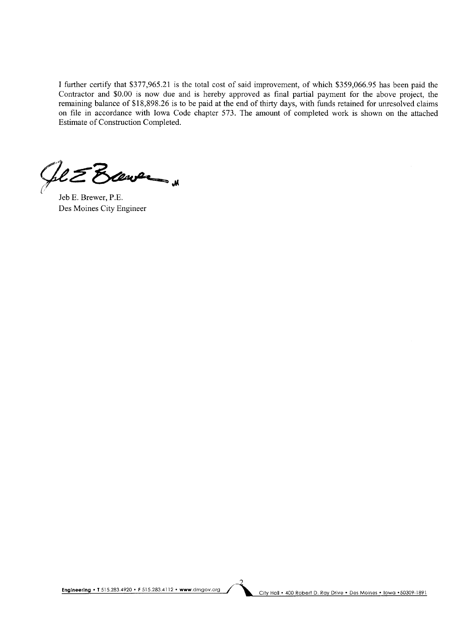I further certify that \$377,965.21 is the total cost of said improvement, of which \$359,066.95 has been paid the Contractor and \$0.00 is now due and is hereby approved as final partial payment for the above project, the remaining balance of \$18,898.26 is to be paid at the end of thirty days, with funds retained for unresolved claims on fie in accordance with Iowa Code chapter 573. The amount of completed work is shown on the attached Estimate of Construction Completed.

 $Q$  $\epsilon$  $\epsilon$  $B$  $\sim$   $\sim$ 

Jeb E. Brewer, P.E. Des Moines City Engineer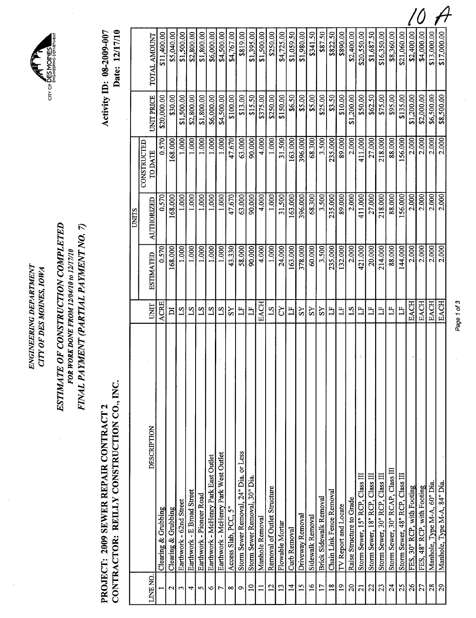| ξ<br>M<br>Ę<br>$\tilde{z}$<br><b>NEPA</b><br>₹<br><b>AING</b> | Ă<br>AOIN<br>€<br>OF DES |
|---------------------------------------------------------------|--------------------------|
| WGINI                                                         | CITY                     |

CITY OF DES MOINES

## ESTIMATE OF CONSTRUCTION COMPLETED FINAL PAYMENT (PARTIAL PAYMENT NO. 7) ESTIMATE OF CONSTRUCTION COMPLETED FINAL PAYMENT (PARTIAL PAYMENT NO.7) FOR WORK DONE FROM 12/04/10 to 12/17/10 FOR WORK DONE FROM 12/04/10 to 12/17/10

# CONTRACTOR: REILLY CONSTRUCTION CO., INC. CONTRACTOR: REILLY CONSTRUCTION CO., INC. PROJECT: 2009 SEWER REPAIR CONTRACT 2 PROJECT: 2009 SEWER REPAIR CONTRACT 2

Activity ID: 08-2009-007<br>Date: 12/17/10 Activity ID: 08-2009-007 Date: 12/17/10

Page 1 of 3 Page 1 of 3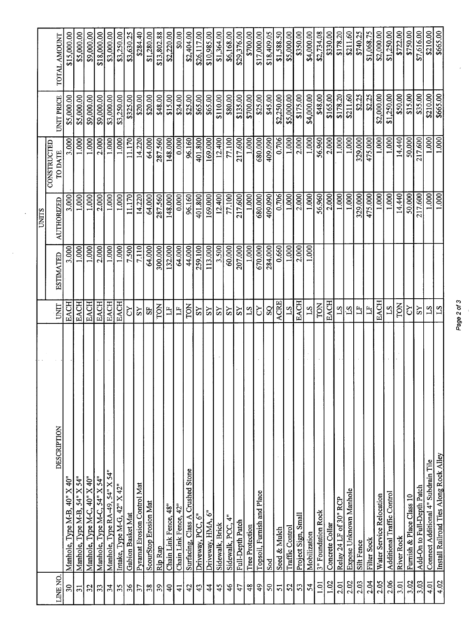|                          |                                            |                 |                  | <b>CINITS</b> |                               |                    |              |
|--------------------------|--------------------------------------------|-----------------|------------------|---------------|-------------------------------|--------------------|--------------|
| LINE NO.                 | DESCRIPTION                                | UNIT            | <b>ESTIMATED</b> | AUTHORIZED    | CONSTRUCTED<br><b>TO DATE</b> | UNIT PRICE         | TOTAL AMOUNT |
| $\mathfrak{S}^{\bullet}$ | 40" X 40"<br>Manhole, Type M-B,            | <b>EACH</b>     | 3.000            | 3.000         | 3.000                         | \$5,000.00         | \$15,000.00  |
| $\overline{31}$          | Manhole, Type M-B, 54" X 54"               | <b>EACH</b>     | 1.000            | 1.000         | 1.000                         | \$5,000.00         | \$5,000.00   |
| 32                       | Manhole, Type M-C, 40" X 40"               | <b>EACH</b>     | 1.000            | 1.000         | 1.000                         | \$9,000.00         | \$9,000.00   |
| 33                       | Manhole, Type M-C, 54" X 54"               | <b>EACH</b>     | 2.000            | 2.000         | 2.000                         | \$9,000.00         | \$18,000.00  |
| 34                       | Manhole, Type RA-49, 54" X 54"             | EACH            | 1.000            | 1.000         | 1.000                         | \$3,000.00         | \$3,000.00   |
| 35                       | Intake, Type M-G, 42" X 42"                | <b>EACH</b>     | 1.000            | 1.000         | 1.000                         | \$3,250.00         | \$3,250.00   |
| 36                       | Gabion Basket Mat                          | č               | 7.500            | 11.170        | 11.170                        | \$325.00           | \$3,630.25   |
| 57                       | Pyramat Erosion Control Mat                | SY              | 7.110            | 14.220        | 14,220                        | \$20.00            | \$284.40     |
| 38                       | <b>ScourStop Erosion Mat</b>               | 55              | 64.000           | 64.000        | 64.000                        | \$20.00            | \$1,280.00   |
| 39                       | Rip Rap                                    | TON             | 300.000          | 287.560       | 287.560                       | \$48.00            | \$13,802.88  |
| $\overline{4}$           | Chain Link Fence, 48"                      | $\Xi$           | 132.000          | 148.000       | 148.000                       | 815.00             | \$2,220.00   |
| $\overline{4}$           | Chain Link Fence, 42"                      | $\mathbb{H}$    | 64.000           | 0.000         | $\frac{1}{2}$                 |                    | \$0.00       |
| 42                       | <b>Crushed Stone</b><br>Surfacing, Class A | TON             | 44.000           | 96.160        | 96.160                        | \$24.00<br>\$25.00 | \$2,404.00   |
| 43                       | Driveway, PCC, 6"                          | SS              | 259.100          | 401.800       | 401.800                       | \$65.00            | \$26,117.00  |
| $\overline{4}$           | Driveway, HMA, 6"                          | SS              | 113.000          | 169.000       | 169.000                       | \$65.00            | \$10,985.00  |
| 45                       | Sidewalk, Brick                            | ΣŠ              | 3.500            | 12.400        | 12.400                        | \$110.00           | \$1,364.00   |
| $\frac{4}{6}$            | Sidewalk, PCC, 4"                          | SS              | 60.000           | 77.100        | 77.100                        | \$80.00            | \$6,168.00   |
| 47                       | Full-Depth Patch                           | $\overline{S}$  | 207.000          | 217.600       | 217.600                       | \$135.00           | \$29,376.00  |
| $\frac{8}{3}$            | Tree Protection                            | $S_{-1}$        | 1.000            | 1.000         | 1.000                         | \$700.00           | \$700.00     |
| $\frac{49}{5}$           | Topsoil, Furnish and Place                 | 5               | 670.000          | 680.000       | 680.000                       | \$25.00            | \$17,000.00  |
| $50\,$                   | Sod                                        | $S_{\rm Q}$     | 284.000          | 409.090       | 409.090                       | \$45.00            | \$18,409.05  |
| 51                       | Seed & Mulch                               | <b>ACRE</b>     | 0.660            | 0.706         | 0.706                         | \$2,250.00         | \$1,588.50   |
| 52                       | Traffic Control                            | $S_{1}$         | 1.000            | 1.000         | 1.000                         | \$5,000.00         | \$5,000.00   |
| 53                       | Project Sign, Small                        | <b>EACH</b>     | 2.000            | 2,000         | 2.000                         | \$175.00           | \$350.00     |
| 54                       | Mobilization                               | $\overline{S}1$ | 1.000            | 1.000         | 1.000                         | \$4,000.00         | \$4,000.00   |
| 101                      | 3" Foundation Rock                         | TON             |                  | 56.960        | 56.960                        | \$48.00            | \$2,734.08   |
| 1.02                     | Concrete Collar                            | <b>EACH</b>     |                  | 2.000         | 2.000                         | \$165.00           | \$330.00     |
| 2.01                     | Relay 24 LF of 30" RCP                     | $S_{-1}$        |                  | 1.000         | 1.000                         | \$178.20           | \$178.20     |
| 2.02                     | Expose Unknown Manhole                     | $\mathbb{S}^1$  |                  | 1.000         | 1.000                         | \$211.60           | \$211.60     |
| 2.03                     | Silt Fence                                 | $\overline{L}$  |                  | 329.000       | 329.000                       | \$2.25             | \$740.25     |
| 2.04                     | Filter Sock                                | $\mathbf{L}$    |                  | 475.000       | 475.000                       | \$2.25             | \$1,068.75   |
| 2.05                     | Water Service Relocation                   | <b>EACH</b>     |                  | 1.000         | 1.000                         | \$2,000.00         | \$2,000.00   |
| 2.06                     | Additional Traffic Control                 | $^{2}$          |                  | 1.000         | 1.000                         | \$1,250.00         | \$1,250.00   |
| 3.01                     | River Rock                                 | TON             |                  | 14.440        | 14.440                        | \$50.00            | \$722.00     |
| 3.02                     | Furnish & Place Class 10                   | č               |                  | 50.000        | 50,000                        | \$15.00            | \$750.00     |
| 3.03                     | Add-On to Full-Depth Patch                 | SS              |                  | 217.600       | 217.600                       | \$35.00            | \$7,616.00   |
| 4.01                     | Connect Additional 4" Subdrain Tile        |                 |                  | 1.000         | 1.000                         | \$210.00           | \$210.00     |
| 4.02                     | Install Railroad Ties Along Rock Alley     | $\frac{18}{2}$  |                  | 1.000         | 1.000                         | \$665.00           | \$665.00     |

Page 2 of 3